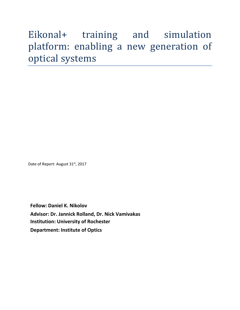# Eikonal+ training and simulation platform: enabling a new generation of optical systems

Date of Report: August 31st, 2017

**Fellow: Daniel K. Nikolov Advisor: Dr. Jannick Rolland, Dr. Nick Vamivakas Institution: University of Rochester Department: Institute of Optics**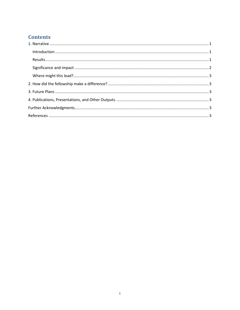## **Contents**

| $\label{eq:1} \mbox{Introduction} \,\, \ldots \,\, \ldots \,\, \ldots \,\, \ldots \,\, \ldots \,\, \ldots \,\, \ldots \,\, \ldots \,\, \ldots \,\, \ldots \,\, \ldots \,\, \ldots \,\, \ldots \,\, \ldots \,\, \ldots \,\, \ldots \,\, \ldots \,\, \ldots \,\, \ldots \,\, \ldots \,\, \ldots \,\, \ldots \,\, \ldots \,\, \ldots \,\, \ldots \,\, \ldots \,\, \ldots \,\, \ldots \,\, \ldots \,\, \ldots \,\, \ldots \,\, \ldots \,\, \ldots \,\, \ldots \,\,$ |  |
|-----------------------------------------------------------------------------------------------------------------------------------------------------------------------------------------------------------------------------------------------------------------------------------------------------------------------------------------------------------------------------------------------------------------------------------------------------------------|--|
|                                                                                                                                                                                                                                                                                                                                                                                                                                                                 |  |
|                                                                                                                                                                                                                                                                                                                                                                                                                                                                 |  |
|                                                                                                                                                                                                                                                                                                                                                                                                                                                                 |  |
|                                                                                                                                                                                                                                                                                                                                                                                                                                                                 |  |
|                                                                                                                                                                                                                                                                                                                                                                                                                                                                 |  |
|                                                                                                                                                                                                                                                                                                                                                                                                                                                                 |  |
|                                                                                                                                                                                                                                                                                                                                                                                                                                                                 |  |
|                                                                                                                                                                                                                                                                                                                                                                                                                                                                 |  |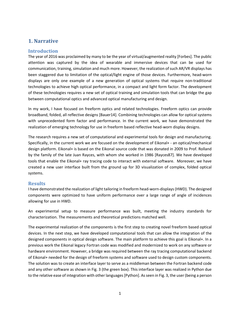## <span id="page-2-0"></span>**1. Narrative**

#### <span id="page-2-1"></span>**Introduction**

The year of 2016 was proclaimed by many to be the year of virtual/augmented reality [Forbes]. The public attention was captured by the idea of wearable and immersive devices that can be used for communication, training, simulation and much more. However, the realization of such AR/VR displays has been staggered due to limitation of the optical/light engine of those devices. Furthermore, head-worn displays are only one example of a new generation of optical systems that require non-traditional technologies to achieve high optical performance, in a compact and light form factor. The development of these technologies requires a new set of optical training and simulation tools that can bridge the gap between computational optics and advanced optical manufacturing and design.

In my work, I have focused on freeform optics and related technologies. Freeform optics can provide broadband, folded, all reflective designs [Bauer14]. Combining technologies can allow for optical systems with unprecedented form factor and performance. In the current work, we have demonstrated the realization of emerging technology for use in freeform based reflective head-worn display designs.

The research requires a new set of computational and experimental tools for design and manufacturing. Specifically, in the current work we are focused on the development of Eikonal+ - an optical/mechanical design platform. Eikonal+ is based on the Eikonal source code that was donated in 2009 to Prof. Rolland by the family of the late Juan Rayces, with whom she worked in 1986 [Rayces87]. We have developed tools that enable the Eikonal+ ray tracing code to interact with external software. Moreover, we have created a new user interface built from the ground up for 3D visualization of complex, folded optical systems.

#### <span id="page-2-2"></span>**Results**

I have demonstrated the realization of light tailoring in freeform head-worn-displays (HWD). The designed components were optimized to have uniform performance over a large range of angle of incidences allowing for use in HWD.

An experimental setup to measure performance was built, meeting the industry standards for characterization. The measurements and theoretical predictions matched well.

The experimental realization of the components is the first step to creating novel freeform based optical devices. In the next step, we have developed computational tools that can allow the integration of the designed components in optical design software. The main platform to achieve this goal is Eikonal+. In a previous work the Eikonal legacy Fortran code was modified and modernized to work on any software or hardware environment. However, a bridge was required between the ray tracing computational backend of Eikonal+ needed for the design of freeform systems and software used to design custom components. The solution was to create an interface layer to serve as a middleman between the Fortran backend code and any other software as shown in Fig. 3 (the green box). This interface layer was realized in Python due to the relative ease of integration with other languages [Python]. As seen in Fig. 3, the user (being a person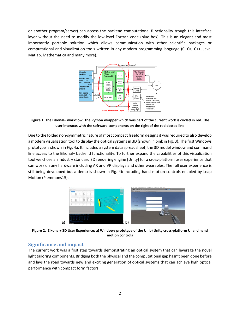or another program/server) can access the backend computational functionality trough this interface layer without the need to modify the low-level Fortran code (blue box). This is an elegant and most importantly portable solution which allows communication with other scientific packages or computational and visualization tools written in any modern programming language (C, C#, C++, Java, Matlab, Mathematica and many more).



**Figure 1. The Eikonal+ workflow. The Python wrapper which was part of the current work is circled in red. The user interacts with the software components on the right of the red dotted line**

Due to the folded non-symmetric nature of most compact freeform designs it was required to also develop a modern visualization tool to display the optical systems in 3D (shown in pink in Fig. 3). The first Windows prototype is shown in Fig. 4a. It includes a system data spreadsheet, the 3D model window and command line access to the Eikonal+ backend functionality. To further expand the capabilities of this visualization tool we chose an industry standard 3D rendering engine [Unity] for a cross-platform user experience that can work on any hardware including AR and VR displays and other wearables. The full user experience is still being developed but a demo is shown in Fig. 4b including hand motion controls enabled by Leap Motion (Plemmons15).



**Figure 2. Eikonal+ 3D User Experience: a) Windows prototype of the UI, b) Unity cross-platform UI and hand motion controls**

#### <span id="page-3-0"></span>**Significance and impact**

The current work was a first step towards demonstrating an optical system that can leverage the novel light tailoring components. Bridging both the physical and the computational gap hasn't been done before and lays the road towards new and exciting generation of optical systems that can achieve high optical performance with compact form factors.